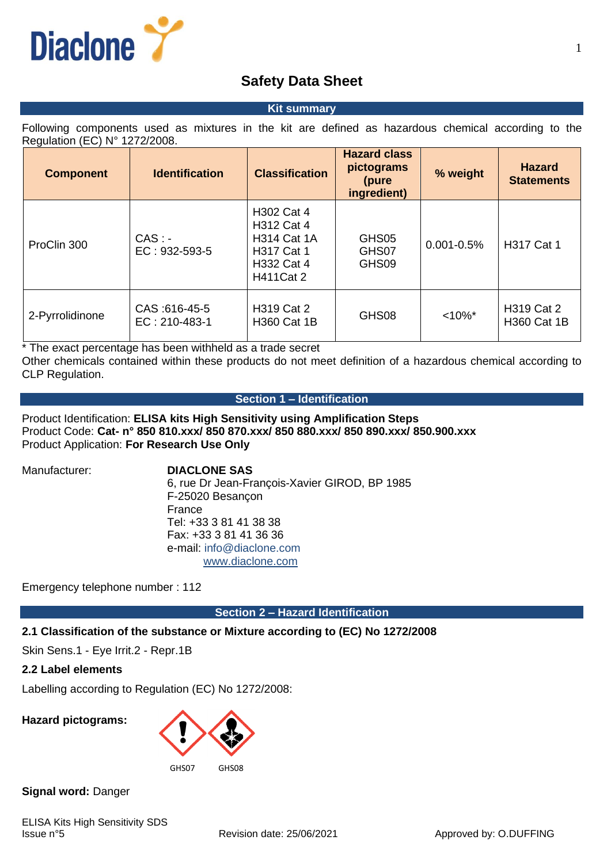

# **Safety Data Sheet**

#### **Kit summary**

Following components used as mixtures in the kit are defined as hazardous chemical according to the Regulation (EC) N° 1272/2008.

| <b>Component</b> | <b>Identification</b>                | <b>Classification</b>                                                                                               | <b>Hazard class</b><br>pictograms<br>(pure<br>ingredient) | % weight       | <b>Hazard</b><br><b>Statements</b> |
|------------------|--------------------------------------|---------------------------------------------------------------------------------------------------------------------|-----------------------------------------------------------|----------------|------------------------------------|
| ProClin 300      | $CAS: -$<br>$EC: 932-593-5$          | <b>H302 Cat 4</b><br><b>H312 Cat 4</b><br><b>H314 Cat 1A</b><br><b>H317 Cat 1</b><br>H332 Cat 4<br><b>H411Cat 2</b> | GHS05<br>GHS07<br>GHS09                                   | $0.001 - 0.5%$ | <b>H317 Cat 1</b>                  |
| 2-Pyrrolidinone  | CAS: 616-45-5<br>$EC: 210 - 483 - 1$ | H319 Cat 2<br><b>H360 Cat 1B</b>                                                                                    | GHS08                                                     | $< 10\%$ *     | H319 Cat 2<br><b>H360 Cat 1B</b>   |

\* The exact percentage has been withheld as a trade secret

Other chemicals contained within these products do not meet definition of a hazardous chemical according to CLP Regulation.

# **Section 1 – Identification**

Product Identification: **ELISA kits High Sensitivity using Amplification Steps** Product Code: **Cat- n° 850 810.xxx/ 850 870.xxx/ 850 880.xxx/ 850 890.xxx/ 850.900.xxx** Product Application: **For Research Use Only**

#### Manufacturer: **DIACLONE SAS**

6, rue Dr Jean-François-Xavier GIROD, BP 1985 F-25020 Besançon France Tel: +33 3 81 41 38 38 Fax: +33 3 81 41 36 36 e-mail: info@diaclone.com [www.diaclone.com](http://www.diaclone.com/)

Emergency telephone number : 112

**Section 2 – Hazard Identification**

# **2.1 Classification of the substance or Mixture according to (EC) No 1272/2008**

Skin Sens.1 - Eye Irrit.2 - Repr.1B

# **2.2 Label elements**

Labelling according to Regulation (EC) No 1272/2008:

**Hazard pictograms:**



**Signal word:** Danger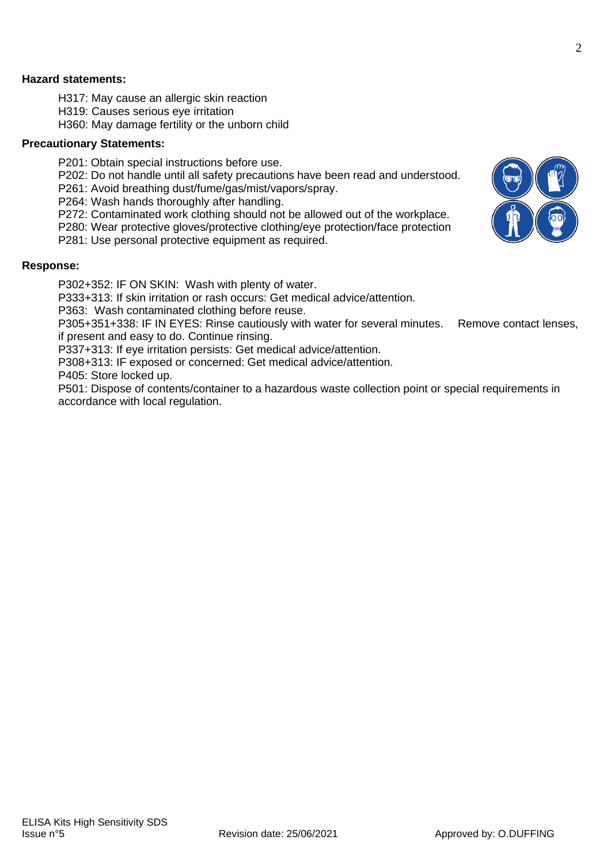### **Hazard statements:**

- H317: May cause an allergic skin reaction
- H319: Causes serious eye irritation
- H360: May damage fertility or the unborn child

#### **Precautionary Statements:**

- P201: Obtain special instructions before use.
- P202: Do not handle until all safety precautions have been read and understood.
- P261: Avoid breathing dust/fume/gas/mist/vapors/spray.
- P264: Wash hands thoroughly after handling.
- P272: Contaminated work clothing should not be allowed out of the workplace.
- P280: Wear protective gloves/protective clothing/eye protection/face protection
- P281: Use personal protective equipment as required.

#### **Response:**

P302+352: IF ON SKIN: Wash with plenty of water.

P333+313: If skin irritation or rash occurs: Get medical advice/attention.

P363: Wash contaminated clothing before reuse.

P305+351+338: IF IN EYES: Rinse cautiously with water for several minutes. Remove contact lenses, if present and easy to do. Continue rinsing.

P337+313: If eye irritation persists: Get medical advice/attention.

P308+313: IF exposed or concerned: Get medical advice/attention.

P405: Store locked up.

P501: Dispose of contents/container to a hazardous waste collection point or special requirements in accordance with local regulation.

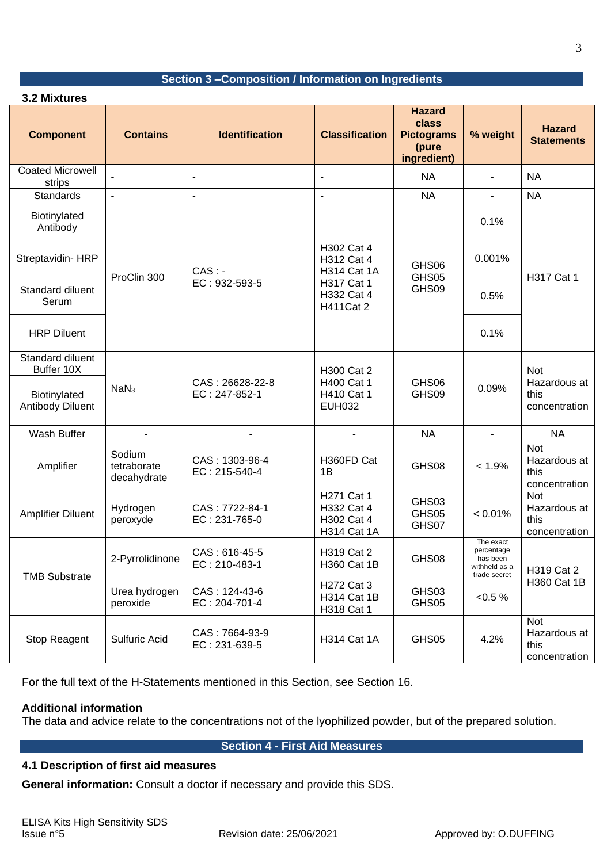# **Section 3 –Composition / Information on Ingredients**

| 3.2 Mixtures                      |                                      |                                  |                                                                                                |                                                                     |                                                                      |                                                     |  |  |
|-----------------------------------|--------------------------------------|----------------------------------|------------------------------------------------------------------------------------------------|---------------------------------------------------------------------|----------------------------------------------------------------------|-----------------------------------------------------|--|--|
| <b>Component</b>                  | <b>Contains</b>                      | <b>Identification</b>            | <b>Classification</b>                                                                          | <b>Hazard</b><br>class<br><b>Pictograms</b><br>(pure<br>ingredient) | % weight                                                             | <b>Hazard</b><br><b>Statements</b>                  |  |  |
| <b>Coated Microwell</b><br>strips |                                      |                                  | $\overline{\phantom{a}}$                                                                       | <b>NA</b>                                                           |                                                                      | <b>NA</b>                                           |  |  |
| <b>Standards</b>                  |                                      | L,                               |                                                                                                | <b>NA</b>                                                           |                                                                      | <b>NA</b>                                           |  |  |
| Biotinylated<br>Antibody          | ProClin 300                          | $CAS: -$<br>EC: 932-593-5        | H302 Cat 4<br>H312 Cat 4<br><b>H314 Cat 1A</b><br>H317 Cat 1<br>H332 Cat 4<br><b>H411Cat 2</b> | GHS06<br>GHS05<br>GHS09                                             | 0.1%                                                                 | H317 Cat 1                                          |  |  |
| Streptavidin-HRP                  |                                      |                                  |                                                                                                |                                                                     | 0.001%                                                               |                                                     |  |  |
| Standard diluent<br>Serum         |                                      |                                  |                                                                                                |                                                                     | 0.5%                                                                 |                                                     |  |  |
| <b>HRP Diluent</b>                |                                      |                                  |                                                                                                |                                                                     | 0.1%                                                                 |                                                     |  |  |
| Standard diluent<br>Buffer 10X    | NaN <sub>3</sub>                     | CAS: 26628-22-8<br>EC: 247-852-1 | H300 Cat 2<br>H400 Cat 1<br>H410 Cat 1<br><b>EUH032</b>                                        | GHS06<br>GHS09                                                      | 0.09%                                                                | <b>Not</b><br>Hazardous at<br>this<br>concentration |  |  |
| Biotinylated<br>Antibody Diluent  |                                      |                                  |                                                                                                |                                                                     |                                                                      |                                                     |  |  |
| Wash Buffer                       |                                      |                                  |                                                                                                | <b>NA</b>                                                           | $\blacksquare$                                                       | <b>NA</b>                                           |  |  |
| Amplifier                         | Sodium<br>tetraborate<br>decahydrate | CAS: 1303-96-4<br>EC: 215-540-4  | H360FD Cat<br>1B                                                                               | GHS08                                                               | $< 1.9\%$                                                            | <b>Not</b><br>Hazardous at<br>this<br>concentration |  |  |
| <b>Amplifier Diluent</b>          | Hydrogen<br>peroxyde                 | CAS: 7722-84-1<br>EC: 231-765-0  | H271 Cat 1<br>H332 Cat 4<br>H302 Cat 4<br>H314 Cat 1A                                          | GHS03<br>GHS05<br>GHS07                                             | $< 0.01\%$                                                           | <b>Not</b><br>Hazardous at<br>this<br>concentration |  |  |
| <b>TMB Substrate</b>              | 2-Pyrrolidinone                      | CAS: 616-45-5<br>EC: 210-483-1   | H319 Cat 2<br><b>H360 Cat 1B</b>                                                               | GHS08                                                               | The exact<br>percentage<br>has been<br>withheld as a<br>trade secret | H319 Cat 2<br>H360 Cat 1B                           |  |  |
|                                   | Urea hydrogen<br>peroxide            | CAS: 124-43-6<br>EC: 204-701-4   | H272 Cat 3<br>H314 Cat 1B<br>H318 Cat 1                                                        | GHS03<br>GHS05                                                      | $< 0.5 \%$                                                           |                                                     |  |  |
| Stop Reagent                      | Sulfuric Acid                        | CAS: 7664-93-9<br>EC: 231-639-5  | H314 Cat 1A                                                                                    | GHS05                                                               | 4.2%                                                                 | <b>Not</b><br>Hazardous at<br>this<br>concentration |  |  |

For the full text of the H-Statements mentioned in this Section, see Section 16.

# **Additional information**

The data and advice relate to the concentrations not of the lyophilized powder, but of the prepared solution.

# **Section 4 - First Aid Measures**

# **4.1 Description of first aid measures**

**General information:** Consult a doctor if necessary and provide this SDS.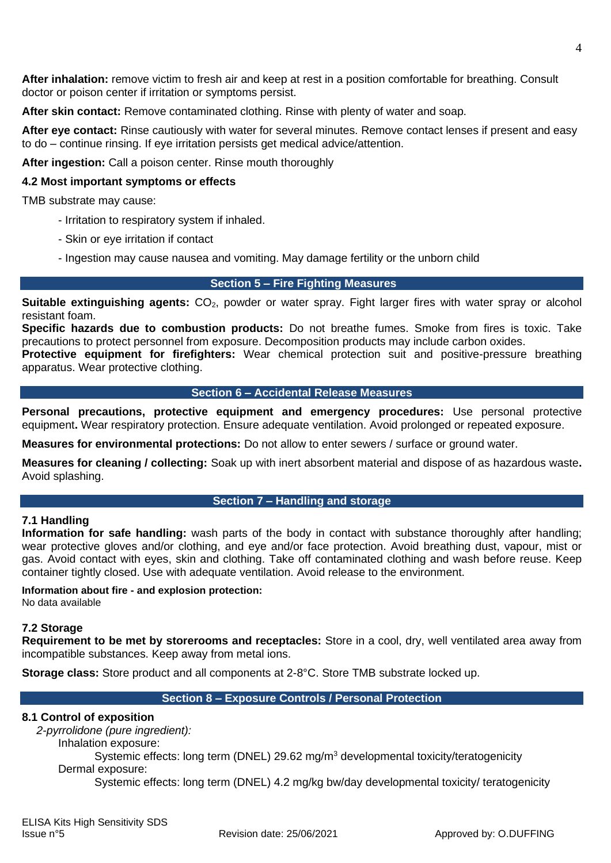**After inhalation:** remove victim to fresh air and keep at rest in a position comfortable for breathing. Consult doctor or poison center if irritation or symptoms persist.

**After skin contact:** Remove contaminated clothing. Rinse with plenty of water and soap.

**After eye contact:** Rinse cautiously with water for several minutes. Remove contact lenses if present and easy to do – continue rinsing. If eye irritation persists get medical advice/attention.

**After ingestion:** Call a poison center. Rinse mouth thoroughly

# **4.2 Most important symptoms or effects**

TMB substrate may cause:

- Irritation to respiratory system if inhaled.
- Skin or eye irritation if contact
- Ingestion may cause nausea and vomiting. May damage fertility or the unborn child

# **Section 5 – Fire Fighting Measures**

**Suitable extinguishing agents:** CO<sub>2</sub>, powder or water spray. Fight larger fires with water spray or alcohol resistant foam.

**Specific hazards due to combustion products:** Do not breathe fumes. Smoke from fires is toxic. Take precautions to protect personnel from exposure. Decomposition products may include carbon oxides.

**Protective equipment for firefighters:** Wear chemical protection suit and positive-pressure breathing apparatus. Wear protective clothing.

#### **Section 6 – Accidental Release Measures**

**Personal precautions, protective equipment and emergency procedures:** Use personal protective equipment**.** Wear respiratory protection. Ensure adequate ventilation. Avoid prolonged or repeated exposure.

**Measures for environmental protections:** Do not allow to enter sewers / surface or ground water.

**Measures for cleaning / collecting:** Soak up with inert absorbent material and dispose of as hazardous waste**.**  Avoid splashing.

#### **Section 7 – Handling and storage**

# **7.1 Handling**

**Information for safe handling:** wash parts of the body in contact with substance thoroughly after handling; wear protective gloves and/or clothing, and eye and/or face protection. Avoid breathing dust, vapour, mist or gas. Avoid contact with eyes, skin and clothing. Take off contaminated clothing and wash before reuse. Keep container tightly closed. Use with adequate ventilation. Avoid release to the environment.

# **Information about fire - and explosion protection:**

No data available

# **7.2 Storage**

**Requirement to be met by storerooms and receptacles:** Store in a cool, dry, well ventilated area away from incompatible substances. Keep away from metal ions.

**Storage class:** Store product and all components at 2-8°C. Store TMB substrate locked up.

# **Section 8 – Exposure Controls / Personal Protection**

#### **8.1 Control of exposition**

*2-pyrrolidone (pure ingredient):* 

Inhalation exposure:

Systemic effects: long term (DNEL) 29.62 mg/m<sup>3</sup> developmental toxicity/teratogenicity Dermal exposure:

Systemic effects: long term (DNEL) 4.2 mg/kg bw/day developmental toxicity/ teratogenicity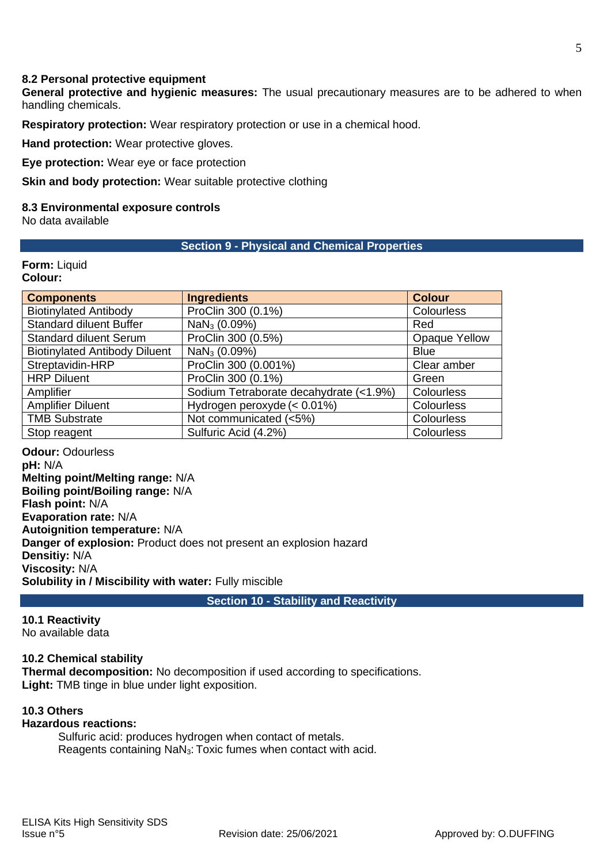### **8.2 Personal protective equipment**

**General protective and hygienic measures:** The usual precautionary measures are to be adhered to when handling chemicals.

**Respiratory protection:** Wear respiratory protection or use in a chemical hood.

**Hand protection:** Wear protective gloves.

**Eye protection:** Wear eye or face protection

**Skin and body protection:** Wear suitable protective clothing

#### **8.3 Environmental exposure controls**

No data available

#### **Section 9 - Physical and Chemical Properties**

# **Form:** Liquid

# **Colour:**

| <b>Components</b>                    | <b>Ingredients</b>                     | <b>Colour</b>     |  |
|--------------------------------------|----------------------------------------|-------------------|--|
| <b>Biotinylated Antibody</b>         | ProClin 300 (0.1%)                     | <b>Colourless</b> |  |
| <b>Standard diluent Buffer</b>       | NaN <sub>3</sub> (0.09%)               | Red               |  |
| <b>Standard diluent Serum</b>        | ProClin 300 (0.5%)                     | Opaque Yellow     |  |
| <b>Biotinylated Antibody Diluent</b> | $NaN3$ (0.09%)                         | <b>Blue</b>       |  |
| Streptavidin-HRP                     | ProClin 300 (0.001%)                   | Clear amber       |  |
| <b>HRP Diluent</b>                   | ProClin 300 (0.1%)                     | Green             |  |
| Amplifier                            | Sodium Tetraborate decahydrate (<1.9%) | <b>Colourless</b> |  |
| <b>Amplifier Diluent</b>             | Hydrogen peroxyde (< 0.01%)            | <b>Colourless</b> |  |
| <b>TMB Substrate</b>                 | Not communicated (<5%)                 | <b>Colourless</b> |  |
| Stop reagent                         | Sulfuric Acid (4.2%)                   | <b>Colourless</b> |  |

**Odour:** Odourless **pH:** N/A **Melting point/Melting range:** N/A **Boiling point/Boiling range:** N/A **Flash point:** N/A **Evaporation rate:** N/A **Autoignition temperature:** N/A **Danger of explosion:** Product does not present an explosion hazard **Densitiy:** N/A **Viscosity:** N/A **Solubility in / Miscibility with water:** Fully miscible

**Section 10 - Stability and Reactivity**

**10.1 Reactivity**

No available data

#### **10.2 Chemical stability**

**Thermal decomposition:** No decomposition if used according to specifications. **Light:** TMB tinge in blue under light exposition.

### **10.3 Others**

# **Hazardous reactions:**

Sulfuric acid: produces hydrogen when contact of metals. Reagents containing NaN3: Toxic fumes when contact with acid.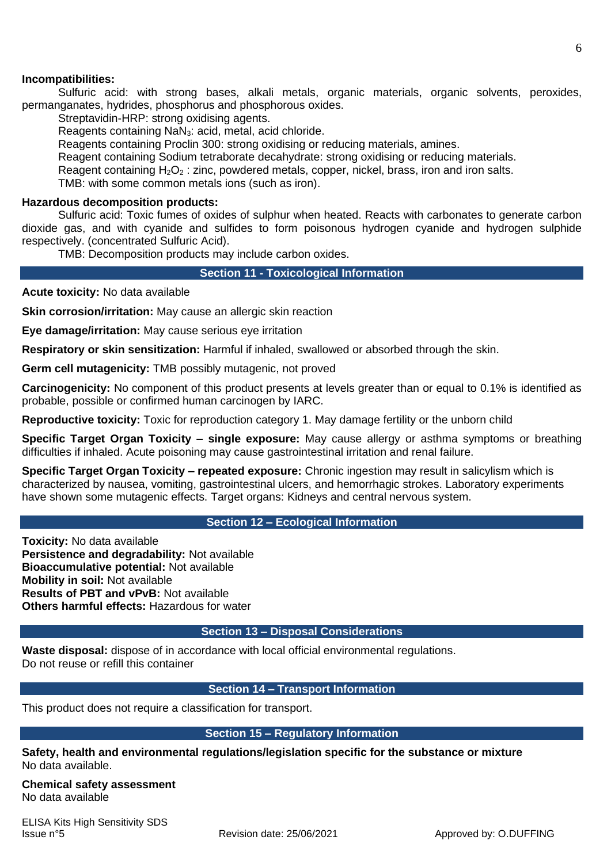Sulfuric acid: with strong bases, alkali metals, organic materials, organic solvents, peroxides, permanganates, hydrides, phosphorus and phosphorous oxides.

Streptavidin-HRP: strong oxidising agents.

Reagents containing NaN3: acid, metal, acid chloride.

Reagents containing Proclin 300: strong oxidising or reducing materials, amines.

Reagent containing Sodium tetraborate decahydrate: strong oxidising or reducing materials.

Reagent containing  $H_2O_2$ : zinc, powdered metals, copper, nickel, brass, iron and iron salts.

TMB: with some common metals ions (such as iron).

### **Hazardous decomposition products:**

Sulfuric acid: Toxic fumes of oxides of sulphur when heated. Reacts with carbonates to generate carbon dioxide gas, and with cyanide and sulfides to form poisonous hydrogen cyanide and hydrogen sulphide respectively. (concentrated Sulfuric Acid).

TMB: Decomposition products may include carbon oxides.

**Section 11 - Toxicological Information**

**Acute toxicity:** No data available

**Skin corrosion/irritation:** May cause an allergic skin reaction

**Eye damage/irritation:** May cause serious eye irritation

**Respiratory or skin sensitization:** Harmful if inhaled, swallowed or absorbed through the skin.

**Germ cell mutagenicity:** TMB possibly mutagenic, not proved

**Carcinogenicity:** No component of this product presents at levels greater than or equal to 0.1% is identified as probable, possible or confirmed human carcinogen by IARC.

**Reproductive toxicity:** Toxic for reproduction category 1. May damage fertility or the unborn child

**Specific Target Organ Toxicity – single exposure:** May cause allergy or asthma symptoms or breathing difficulties if inhaled. Acute poisoning may cause gastrointestinal irritation and renal failure.

**Specific Target Organ Toxicity – repeated exposure:** Chronic ingestion may result in salicylism which is characterized by nausea, vomiting, gastrointestinal ulcers, and hemorrhagic strokes. Laboratory experiments have shown some mutagenic effects. Target organs: Kidneys and central nervous system.

**Section 12 – Ecological Information** 

**Toxicity:** No data available **Persistence and degradability:** Not available **Bioaccumulative potential:** Not available **Mobility in soil:** Not available **Results of PBT and vPvB:** Not available **Others harmful effects:** Hazardous for water

# **Section 13 – Disposal Considerations**

**Waste disposal:** dispose of in accordance with local official environmental regulations. Do not reuse or refill this container

# **Section 14 – Transport Information**

This product does not require a classification for transport.

# **Section 15 – Regulatory Information**

**Safety, health and environmental regulations/legislation specific for the substance or mixture**  No data available.

**Chemical safety assessment**  No data available